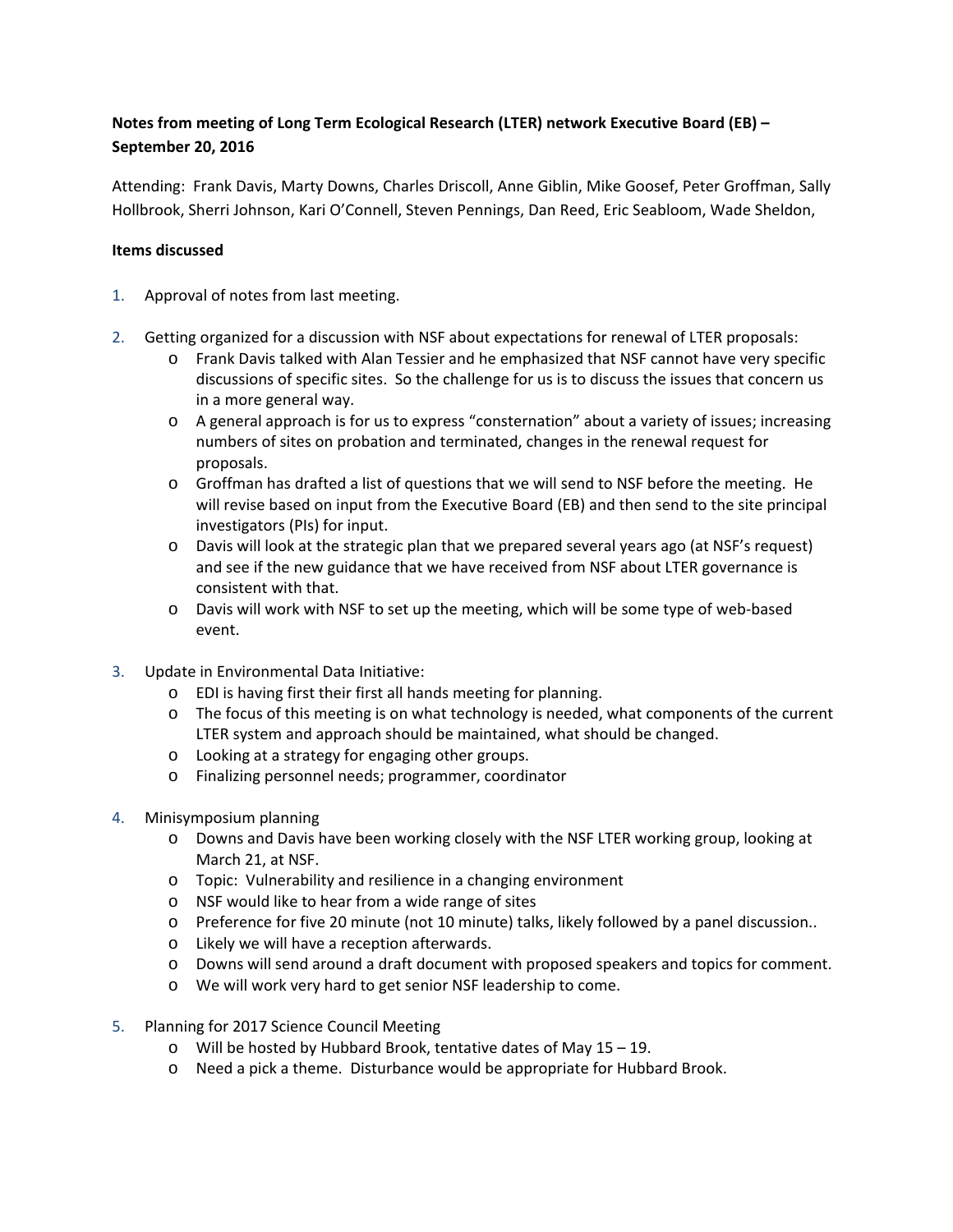## **Notes from meeting of Long Term Ecological Research (LTER) network Executive Board (EB) – September 20, 2016**

Attending: Frank Davis, Marty Downs, Charles Driscoll, Anne Giblin, Mike Goosef, Peter Groffman, Sally Hollbrook, Sherri Johnson, Kari O'Connell, Steven Pennings, Dan Reed, Eric Seabloom, Wade Sheldon,

## **Items discussed**

- 1. Approval of notes from last meeting.
- 2. Getting organized for a discussion with NSF about expectations for renewal of LTER proposals:
	- o Frank Davis talked with Alan Tessier and he emphasized that NSF cannot have very specific discussions of specific sites. So the challenge for us is to discuss the issues that concern us in a more general way.
	- o A general approach is for us to express "consternation" about a variety of issues; increasing numbers of sites on probation and terminated, changes in the renewal request for proposals.
	- $\circ$  Groffman has drafted a list of questions that we will send to NSF before the meeting. He will revise based on input from the Executive Board (EB) and then send to the site principal investigators (PIs) for input.
	- o Davis will look at the strategic plan that we prepared several years ago (at NSF's request) and see if the new guidance that we have received from NSF about LTER governance is consistent with that.
	- o Davis will work with NSF to set up the meeting, which will be some type of web-based event.
- 3. Update in Environmental Data Initiative:
	- o EDI is having first their first all hands meeting for planning.
	- $\circ$  The focus of this meeting is on what technology is needed, what components of the current LTER system and approach should be maintained, what should be changed.
	- o Looking at a strategy for engaging other groups.
	- o Finalizing personnel needs; programmer, coordinator
- 4. Minisymposium planning
	- o Downs and Davis have been working closely with the NSF LTER working group, looking at March 21, at NSF.
	- o Topic: Vulnerability and resilience in a changing environment
	- o NSF would like to hear from a wide range of sites
	- o Preference for five 20 minute (not 10 minute) talks, likely followed by a panel discussion..
	- o Likely we will have a reception afterwards.
	- o Downs will send around a draft document with proposed speakers and topics for comment.
	- o We will work very hard to get senior NSF leadership to come.
- 5. Planning for 2017 Science Council Meeting
	- o Will be hosted by Hubbard Brook, tentative dates of May 15 19.
	- o Need a pick a theme. Disturbance would be appropriate for Hubbard Brook.